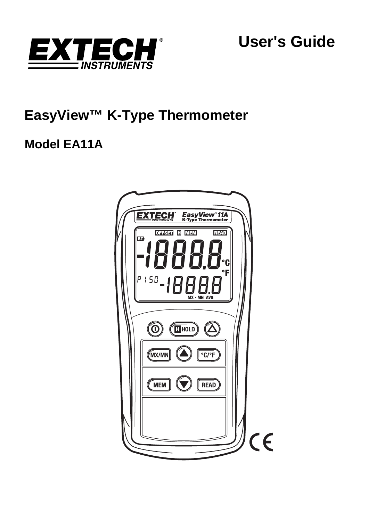

**User's Guide** 

# **EasyView™ K-Type Thermometer**

# **Model EA11A**

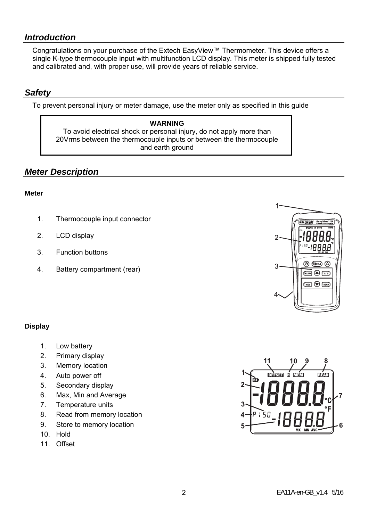## *Introduction*

Congratulations on your purchase of the Extech EasyView™ Thermometer. This device offers a single K-type thermocouple input with multifunction LCD display. This meter is shipped fully tested and calibrated and, with proper use, will provide years of reliable service.

## *Safety*

To prevent personal injury or meter damage, use the meter only as specified in this guide

#### **WARNING**

To avoid electrical shock or personal injury, do not apply more than 20Vrms between the thermocouple inputs or between the thermocouple and earth ground

# *Meter Description*

#### **Meter**

- 1. Thermocouple input connector
- 2. LCD display
- 3. Function buttons
- 4. Battery compartment (rear)



#### **Display**

- 1. Low battery
- 2. Primary display
- 3. Memory location
- 4. Auto power off
- 5. Secondary display
- 6. Max, Min and Average
- 7. Temperature units
- 8. Read from memory location
- 9. Store to memory location
- 10. Hold
- 11. Offset

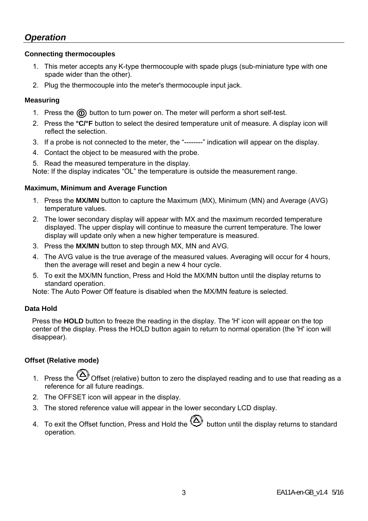# *Operation*

#### **Connecting thermocouples**

- 1. This meter accepts any K-type thermocouple with spade plugs (sub-miniature type with one spade wider than the other).
- 2. Plug the thermocouple into the meter's thermocouple input jack.

#### **Measuring**

- 1. Press the  $\textcircled{a}$  button to turn power on. The meter will perform a short self-test.
- 2. Press the **°C/°F** button to select the desired temperature unit of measure. A display icon will reflect the selection.
- 3. If a probe is not connected to the meter, the "--------" indication will appear on the display.
- 4. Contact the object to be measured with the probe.

5. Read the measured temperature in the display.

Note: If the display indicates "OL" the temperature is outside the measurement range.

#### **Maximum, Minimum and Average Function**

- 1. Press the **MX/MN** button to capture the Maximum (MX), Minimum (MN) and Average (AVG) temperature values.
- 2. The lower secondary display will appear with MX and the maximum recorded temperature displayed. The upper display will continue to measure the current temperature. The lower display will update only when a new higher temperature is measured.
- 3. Press the **MX/MN** button to step through MX, MN and AVG.
- 4. The AVG value is the true average of the measured values. Averaging will occur for 4 hours, then the average will reset and begin a new 4 hour cycle.
- 5. To exit the MX/MN function, Press and Hold the MX/MN button until the display returns to standard operation.

Note: The Auto Power Off feature is disabled when the MX/MN feature is selected.

#### **Data Hold**

Press the **HOLD** button to freeze the reading in the display. The 'H' icon will appear on the top center of the display. Press the HOLD button again to return to normal operation (the 'H' icon will disappear).

#### **Offset (Relative mode)**

- 1 Press the  $\bigcirc$  Offset (relative) button to zero the displayed reading and to use that reading as a reference for all future readings.
- 2. The OFFSET icon will appear in the display.
- 3. The stored reference value will appear in the lower secondary LCD display.
- 4. To exit the Offset function, Press and Hold the  $\bigcircled{D}$  button until the display returns to standard operation.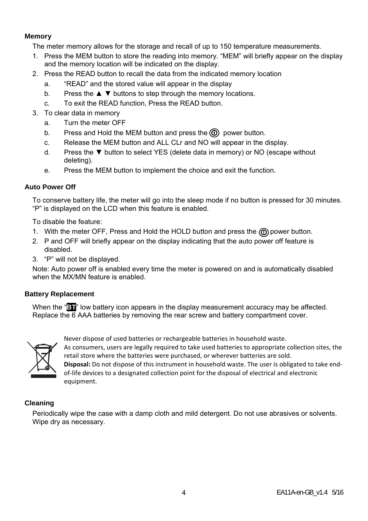#### **Memory**

The meter memory allows for the storage and recall of up to 150 temperature measurements.

- 1. Press the MEM button to store the reading into memory. "MEM" will briefly appear on the display and the memory location will be indicated on the display.
- 2. Press the READ button to recall the data from the indicated memory location
	- a. "READ" and the stored value will appear in the display
	- b. Press the ▲ ▼ buttons to step through the memory locations.
	- c. To exit the READ function, Press the READ button.
- 3. To clear data in memory
	- a. Turn the meter OFF
	- b. Press and Hold the MEM button and press the  $\circled{0}$  power button.
	- c. Release the MEM button and ALL CLr and NO will appear in the display.
	- d. Press the ▼ button to select YES (delete data in memory) or NO (escape without deleting).
	- e. Press the MEM button to implement the choice and exit the function.

### **Auto Power Off**

To conserve battery life, the meter will go into the sleep mode if no button is pressed for 30 minutes. "P" is displayed on the LCD when this feature is enabled.

To disable the feature:

- 1. With the meter OFF, Press and Hold the HOLD button and press the  $\textcircled{\tiny{}}0$  power button.
- 2. P and OFF will briefly appear on the display indicating that the auto power off feature is disabled.
- 3. "P" will not be displayed.

Note: Auto power off is enabled every time the meter is powered on and is automatically disabled when the MX/MN feature is enabled.

#### **Battery Replacement**

When the "**BT**" low battery icon appears in the display measurement accuracy may be affected. Replace the 6 AAA batteries by removing the rear screw and battery compartment cover.



Never dispose of used batteries or rechargeable batteries in household waste. As consumers, users are legally required to take used batteries to appropriate collection sites, the retail store where the batteries were purchased, or wherever batteries are sold.

**Disposal:** Do not dispose of this instrument in household waste. The user is obligated to take end‐ of-life devices to a designated collection point for the disposal of electrical and electronic equipment.

#### **Cleaning**

Periodically wipe the case with a damp cloth and mild detergent. Do not use abrasives or solvents. Wipe dry as necessary.